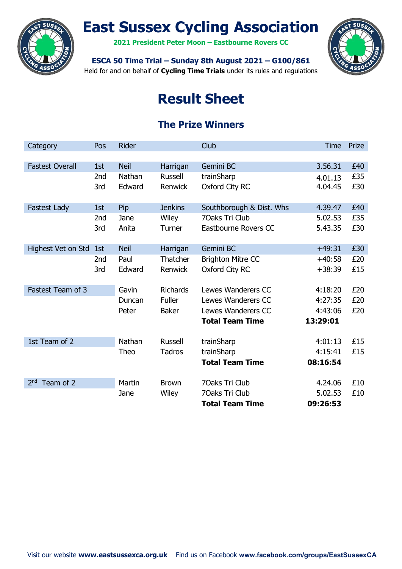

# East Sussex Cycling Association

2021 President Peter Moon – Eastbourne Rovers CC



# ESCA 50 Time Trial – Sunday 8th August 2021 – G100/861

Held for and on behalf of Cycling Time Trials under its rules and regulations

# Result Sheet

# The Prize Winners

| Category                     | Pos             | Rider       |                 | Club                     | <b>Time</b> | Prize |
|------------------------------|-----------------|-------------|-----------------|--------------------------|-------------|-------|
|                              |                 |             |                 |                          |             |       |
| <b>Fastest Overall</b>       | 1st             | <b>Neil</b> | Harrigan        | Gemini BC                | 3.56.31     | £40   |
|                              | 2 <sub>nd</sub> | Nathan      | <b>Russell</b>  | trainSharp               | 4.01.13     | £35   |
|                              | 3rd             | Edward      | Renwick         | Oxford City RC           | 4.04.45     | £30   |
|                              |                 |             |                 |                          |             |       |
| <b>Fastest Lady</b>          | 1st             | Pip         | <b>Jenkins</b>  | Southborough & Dist. Whs | 4.39.47     | £40   |
|                              | 2nd             | Jane        | Wiley           | 70aks Tri Club           | 5.02.53     | £35   |
|                              | 3rd             | Anita       | Turner          | Eastbourne Rovers CC     | 5.43.35     | £30   |
|                              |                 |             |                 |                          |             |       |
| Highest Vet on Std           | 1st             | <b>Neil</b> | Harrigan        | Gemini BC                | $+49:31$    | £30   |
|                              | 2nd             | Paul        | Thatcher        | <b>Brighton Mitre CC</b> | $+40:58$    | £20   |
|                              | 3rd             | Edward      | <b>Renwick</b>  | Oxford City RC           | $+38:39$    | £15   |
|                              |                 |             |                 |                          |             |       |
| Fastest Team of 3            |                 | Gavin       | <b>Richards</b> | Lewes Wanderers CC       | 4:18:20     | £20   |
|                              |                 | Duncan      | <b>Fuller</b>   | Lewes Wanderers CC       | 4:27:35     | £20   |
|                              |                 | Peter       | <b>Baker</b>    | Lewes Wanderers CC       | 4:43:06     | £20   |
|                              |                 |             |                 | <b>Total Team Time</b>   | 13:29:01    |       |
|                              |                 |             |                 |                          |             |       |
| 1st Team of 2                |                 | Nathan      | <b>Russell</b>  | trainSharp               | 4:01:13     | £15   |
|                              |                 | Theo        | <b>Tadros</b>   | trainSharp               | 4:15:41     | £15   |
|                              |                 |             |                 | <b>Total Team Time</b>   | 08:16:54    |       |
|                              |                 |             |                 |                          |             |       |
| Team of 2<br>2 <sub>nd</sub> |                 | Martin      | <b>Brown</b>    | 70aks Tri Club           | 4.24.06     | £10   |
|                              |                 | Jane        | Wiley           | 70aks Tri Club           | 5.02.53     | £10   |
|                              |                 |             |                 | <b>Total Team Time</b>   | 09:26:53    |       |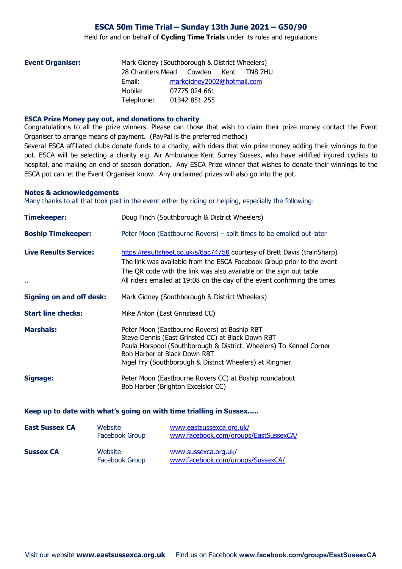# ESCA 50m Time Trial – Sunday 13th June 2021 – G50/90

Held for and on behalf of Cycling Time Trials under its rules and regulations

|            |  | Kent                     | TN8 7HU                                                                                                        |
|------------|--|--------------------------|----------------------------------------------------------------------------------------------------------------|
| Email:     |  |                          |                                                                                                                |
| Mobile:    |  |                          |                                                                                                                |
| Telephone: |  |                          |                                                                                                                |
|            |  | 28 Chantlers Mead Cowden | Mark Gidney (Southborough & District Wheelers)<br>markgidney2002@hotmail.com<br>07775 024 661<br>01342 851 255 |

#### ESCA Prize Money pay out, and donations to charity

Congratulations to all the prize winners. Please can those that wish to claim their prize money contact the Event Organiser to arrange means of payment. (PayPal is the preferred method)

Several ESCA affiliated clubs donate funds to a charity, with riders that win prize money adding their winnings to the pot. ESCA will be selecting a charity e.g. Air Ambulance Kent Surrey Sussex, who have airlifted injured cyclists to hospital, and making an end of season donation. Any ESCA Prize winner that wishes to donate their winnings to the ESCA pot can let the Event Organiser know. Any unclaimed prizes will also go into the pot.

#### Notes & acknowledgements

Many thanks to all that took part in the event either by riding or helping, especially the following:

| <b>Timekeeper:</b>                 | Doug Finch (Southborough & District Wheelers)                                                                                                                                                                                                                                                         |
|------------------------------------|-------------------------------------------------------------------------------------------------------------------------------------------------------------------------------------------------------------------------------------------------------------------------------------------------------|
| <b>Boship Timekeeper:</b>          | Peter Moon (Eastbourne Rovers) – split times to be emailed out later                                                                                                                                                                                                                                  |
| <b>Live Results Service:</b><br>Ω. | https://resultsheet.co.uk/s/6ac74756 courtesy of Brett Davis (trainSharp)<br>The link was available from the ESCA Facebook Group prior to the event<br>The QR code with the link was also available on the sign out table<br>All riders emailed at 19:08 on the day of the event confirming the times |
| <b>Signing on and off desk:</b>    | Mark Gidney (Southborough & District Wheelers)                                                                                                                                                                                                                                                        |
| <b>Start line checks:</b>          | Mike Anton (East Grinstead CC)                                                                                                                                                                                                                                                                        |
| <b>Marshals:</b>                   | Peter Moon (Eastbourne Rovers) at Boship RBT<br>Steve Dennis (East Grinsted CC) at Black Down RBT<br>Paula Horspool (Southborough & District. Wheelers) To Kennel Corner<br>Bob Harber at Black Down RBT<br>Nigel Fry (Southborough & District Wheelers) at Ringmer                                   |
| Signage:                           | Peter Moon (Eastbourne Rovers CC) at Boship roundabout<br>Bob Harber (Brighton Excelsior CC)                                                                                                                                                                                                          |

### Keep up to date with what's going on with time trialling in Sussex..…

| <b>East Sussex CA</b> | Website<br>Facebook Group | www.eastsussexca.org.uk/<br>www.facebook.com/groups/EastSussexCA/ |
|-----------------------|---------------------------|-------------------------------------------------------------------|
| <b>Sussex CA</b>      | Website<br>Facebook Group | www.sussexca.org.uk/<br>www.facebook.com/groups/SussexCA/         |